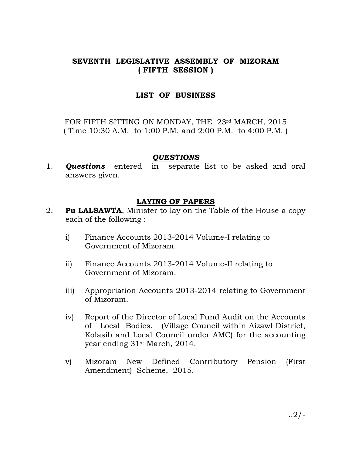## SEVENTH LEGISLATIVE ASSEMBLY OF MIZORAM ( FIFTH SESSION )

## LIST OF BUSINESS

FOR FIFTH SITTING ON MONDAY, THE 23rd MARCH, 2015 ( Time 10:30 A.M. to 1:00 P.M. and 2:00 P.M. to 4:00 P.M. )

#### QUESTIONS

1. **Questions** entered in separate list to be asked and oral answers given.

## LAYING OF PAPERS

- 2. **Pu LALSAWTA**, Minister to lay on the Table of the House a copy each of the following :
	- i) Finance Accounts 2013-2014 Volume-I relating to Government of Mizoram.
	- ii) Finance Accounts 2013-2014 Volume-II relating to Government of Mizoram.
	- iii) Appropriation Accounts 2013-2014 relating to Government of Mizoram.
	- iv) Report of the Director of Local Fund Audit on the Accounts of Local Bodies. (Village Council within Aizawl District, Kolasib and Local Council under AMC) for the accounting year ending 31st March, 2014.
	- v) Mizoram New Defined Contributory Pension (First Amendment) Scheme, 2015.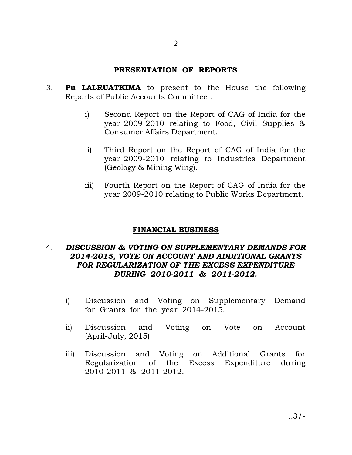#### PRESENTATION OF REPORTS

- 3. Pu LALRUATKIMA to present to the House the following Reports of Public Accounts Committee :
	- i) Second Report on the Report of CAG of India for the year 2009-2010 relating to Food, Civil Supplies & Consumer Affairs Department.
	- ii) Third Report on the Report of CAG of India for the year 2009-2010 relating to Industries Department (Geology & Mining Wing).
	- iii) Fourth Report on the Report of CAG of India for the year 2009-2010 relating to Public Works Department.

## FINANCIAL BUSINESS

## 4. DISCUSSION & VOTING ON SUPPLEMENTARY DEMANDS FOR 2014-2015, VOTE ON ACCOUNT AND ADDITIONAL GRANTS FOR REGULARIZATION OF THE EXCESS EXPENDITURE DURING 2010-2011 & 2011-2012.

- i) Discussion and Voting on Supplementary Demand for Grants for the year 2014-2015.
- ii) Discussion and Voting on Vote on Account (April-July, 2015).
- iii) Discussion and Voting on Additional Grants for Regularization of the Excess Expenditure during 2010-2011 & 2011-2012.